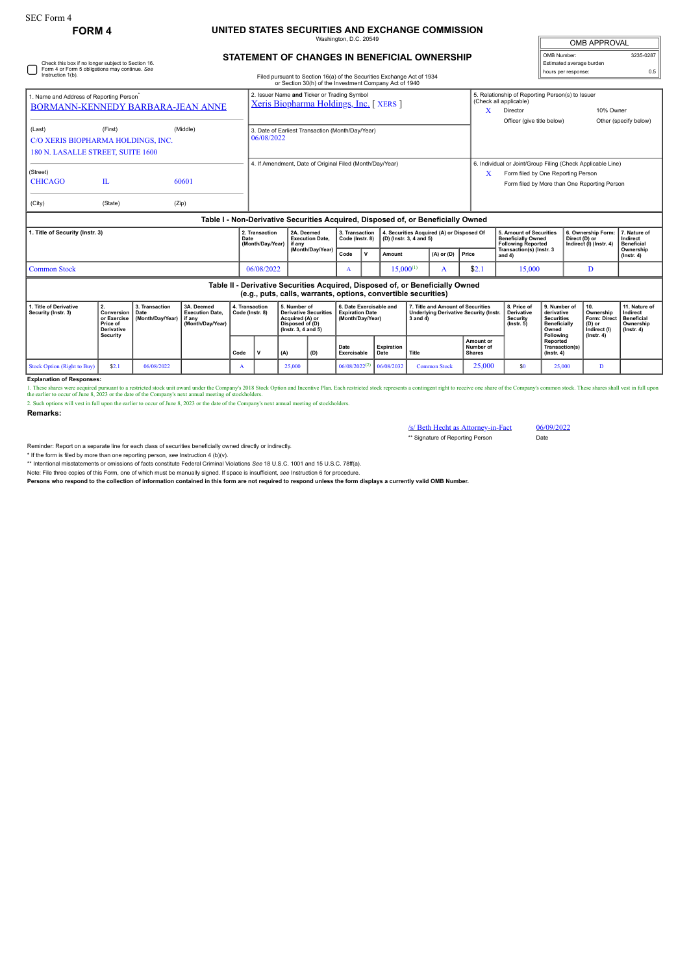## **FORM 4 UNITED STATES SECURITIES AND EXCHANGE COMMISSION** ngton, D.C. 20

| <b>OMB APPROVAL</b>                     |           |  |  |  |  |  |  |  |
|-----------------------------------------|-----------|--|--|--|--|--|--|--|
| OMB Number:<br>Estimated average burden | 3235-0287 |  |  |  |  |  |  |  |
| hours per response:                     | 0.5       |  |  |  |  |  |  |  |

## **STATEMENT OF CHANGES IN BENEFICIAL OWNERSHIP**

| Check this box if no longer subject to Section 16.<br>Form 4 or Form 5 obligations may continue. See              |                                                                                                |                                                                                                                  |       |                                   |                                                                                                                                                |            |                                                                                                           |                                                                                                                                                 |                                                                       |                           |                                                                                                |                                           |                                         |                                                                                                                                                   | Estimated average burden                                                        |               |                                                                   |                                                                                 |
|-------------------------------------------------------------------------------------------------------------------|------------------------------------------------------------------------------------------------|------------------------------------------------------------------------------------------------------------------|-------|-----------------------------------|------------------------------------------------------------------------------------------------------------------------------------------------|------------|-----------------------------------------------------------------------------------------------------------|-------------------------------------------------------------------------------------------------------------------------------------------------|-----------------------------------------------------------------------|---------------------------|------------------------------------------------------------------------------------------------|-------------------------------------------|-----------------------------------------|---------------------------------------------------------------------------------------------------------------------------------------------------|---------------------------------------------------------------------------------|---------------|-------------------------------------------------------------------|---------------------------------------------------------------------------------|
| Instruction 1(b).                                                                                                 |                                                                                                |                                                                                                                  |       |                                   |                                                                                                                                                |            |                                                                                                           | Filed pursuant to Section 16(a) of the Securities Exchange Act of 1934                                                                          |                                                                       |                           |                                                                                                |                                           |                                         |                                                                                                                                                   | hours per response:                                                             |               |                                                                   | 0.5                                                                             |
| 1. Name and Address of Reporting Person <sup>®</sup><br>BORMANN-KENNEDY BARBARA-JEAN ANNE                         |                                                                                                |                                                                                                                  |       |                                   | or Section 30(h) of the Investment Company Act of 1940<br>2. Issuer Name and Ticker or Trading Symbol<br>Xeris Biopharma Holdings, Inc. [XERS] |            |                                                                                                           |                                                                                                                                                 |                                                                       |                           |                                                                                                |                                           | X                                       | (Check all applicable)<br>Director                                                                                                                | 5. Relationship of Reporting Person(s) to Issuer                                |               | 10% Owner                                                         |                                                                                 |
| (Last)                                                                                                            | (First)<br>(Middle)<br>C/O XERIS BIOPHARMA HOLDINGS, INC.<br>180 N. LASALLE STREET, SUITE 1600 |                                                                                                                  |       |                                   | 3. Date of Earliest Transaction (Month/Day/Year)<br>06/08/2022                                                                                 |            |                                                                                                           |                                                                                                                                                 |                                                                       |                           |                                                                                                |                                           |                                         | Officer (give title below)                                                                                                                        |                                                                                 |               |                                                                   | Other (specify below)                                                           |
| (Street)<br><b>CHICAGO</b><br>(City)                                                                              | IL<br>(State)                                                                                  | (Zip)                                                                                                            | 60601 |                                   |                                                                                                                                                |            |                                                                                                           | 4. If Amendment, Date of Original Filed (Month/Day/Year)                                                                                        |                                                                       |                           |                                                                                                |                                           | X                                       | 6. Individual or Joint/Group Filing (Check Applicable Line)<br>Form filed by One Reporting Person<br>Form filed by More than One Reporting Person |                                                                                 |               |                                                                   |                                                                                 |
|                                                                                                                   |                                                                                                |                                                                                                                  |       |                                   |                                                                                                                                                |            |                                                                                                           | Table I - Non-Derivative Securities Acquired, Disposed of, or Beneficially Owned                                                                |                                                                       |                           |                                                                                                |                                           |                                         |                                                                                                                                                   |                                                                                 |               |                                                                   |                                                                                 |
| 1. Title of Security (Instr. 3)                                                                                   |                                                                                                |                                                                                                                  |       |                                   | 2. Transaction                                                                                                                                 | 2A. Deemed |                                                                                                           | 3. Transaction                                                                                                                                  |                                                                       |                           |                                                                                                | 4. Securities Acquired (A) or Disposed Of |                                         | 5. Amount of Securities                                                                                                                           |                                                                                 |               | 6. Ownership Form:                                                | 7. Nature of                                                                    |
|                                                                                                                   |                                                                                                |                                                                                                                  |       |                                   | Date<br>(Month/Day/Year)                                                                                                                       |            | <b>Execution Date.</b><br>if any                                                                          |                                                                                                                                                 | Code (Instr. 8)                                                       |                           | (D) (Instr. 3, 4 and 5)                                                                        |                                           |                                         | <b>Beneficially Owned</b><br><b>Following Reported</b>                                                                                            |                                                                                 | Direct (D) or | Indirect (I) (Instr. 4)                                           | Indirect<br><b>Beneficial</b>                                                   |
|                                                                                                                   |                                                                                                |                                                                                                                  |       |                                   |                                                                                                                                                |            | (Month/Day/Year)                                                                                          |                                                                                                                                                 | v                                                                     | Amount                    |                                                                                                | $(A)$ or $(D)$                            | Price                                   | Transaction(s) (Instr. 3<br>and 4)                                                                                                                |                                                                                 |               |                                                                   | Ownership<br>$($ lnstr. 4 $)$                                                   |
| <b>Common Stock</b>                                                                                               |                                                                                                |                                                                                                                  |       |                                   | 06/08/2022                                                                                                                                     |            |                                                                                                           | A                                                                                                                                               |                                                                       | $15,000^{(1)}$            |                                                                                                | A                                         | \$2.1                                   | 15,000                                                                                                                                            |                                                                                 |               | D                                                                 |                                                                                 |
|                                                                                                                   |                                                                                                |                                                                                                                  |       |                                   |                                                                                                                                                |            |                                                                                                           | Table II - Derivative Securities Acquired, Disposed of, or Beneficially Owned<br>(e.g., puts, calls, warrants, options, convertible securities) |                                                                       |                           |                                                                                                |                                           |                                         |                                                                                                                                                   |                                                                                 |               |                                                                   |                                                                                 |
| 1. Title of Derivative<br>2.<br>Security (Instr. 3)<br>Conversion<br>or Exercise<br>Price of<br><b>Derivative</b> |                                                                                                | 3. Transaction<br>3A. Deemed<br>Date<br><b>Execution Date.</b><br>(Month/Day/Year)<br>if any<br>(Month/Day/Year) |       | 4. Transaction<br>Code (Instr. 8) |                                                                                                                                                |            | 5. Number of<br><b>Derivative Securities</b><br>Acquired (A) or<br>Disposed of (D)<br>(Instr. 3, 4 and 5) |                                                                                                                                                 | 6. Date Exercisable and<br><b>Expiration Date</b><br>(Month/Day/Year) |                           | 7. Title and Amount of Securities<br><b>Underlying Derivative Security (Instr.</b><br>3 and 4) |                                           |                                         | 8. Price of<br><b>Derivative</b><br>Security<br>$($ lnstr. 5 $)$                                                                                  | 9. Number of<br>derivative<br><b>Securities</b><br><b>Beneficially</b><br>Owned |               | 10.<br>Ownership<br><b>Form: Direct</b><br>(D) or<br>Indirect (I) | 11. Nature of<br>Indirect<br><b>Beneficial</b><br>Ownership<br>$($ lnstr. 4 $)$ |
|                                                                                                                   |                                                                                                |                                                                                                                  |       |                                   |                                                                                                                                                |            |                                                                                                           |                                                                                                                                                 |                                                                       |                           |                                                                                                |                                           |                                         |                                                                                                                                                   |                                                                                 |               |                                                                   |                                                                                 |
|                                                                                                                   | Security                                                                                       |                                                                                                                  |       | Code                              |                                                                                                                                                | (A)        | (D)                                                                                                       | Date<br>Exercisable                                                                                                                             |                                                                       | <b>Expiration</b><br>Date | <b>Title</b>                                                                                   |                                           | Amount or<br>Number of<br><b>Shares</b> |                                                                                                                                                   | Following<br><b>Reported</b><br>Transaction(s)<br>$($ Instr. 4 $)$              |               | $($ Instr. 4 $)$                                                  |                                                                                 |

## **Explanation of Responses:**

1. These shares were acquired pursuant to a restricted stock unit award under the Company's 2018 Stock Option and Incentive Plan. Each restricted stock represents a contingent right to receive one share of the Company's co

**Remarks:**

/s/ Beth Hecht as Attorney-in-Fact 06/09/2022 \*\* Signature of Reporting Person Date

Reminder: Report on a separate line for each class of securities beneficially owned directly or indirectly.

\* If the form is filed by more than one reporting person, *see* Instruction 4 (b)(v).

\*\* Intentional misstatements or omissions of facts constitute Federal Criminal Violations *See* 18 U.S.C. 1001 and 15 U.S.C. 78ff(a).

Note: File three copies of this Form, one of which must be manually signed. If space is insufficient, see Instruction 6 for procedure.<br>Persons who respond to the collection of information contained in this form are not req